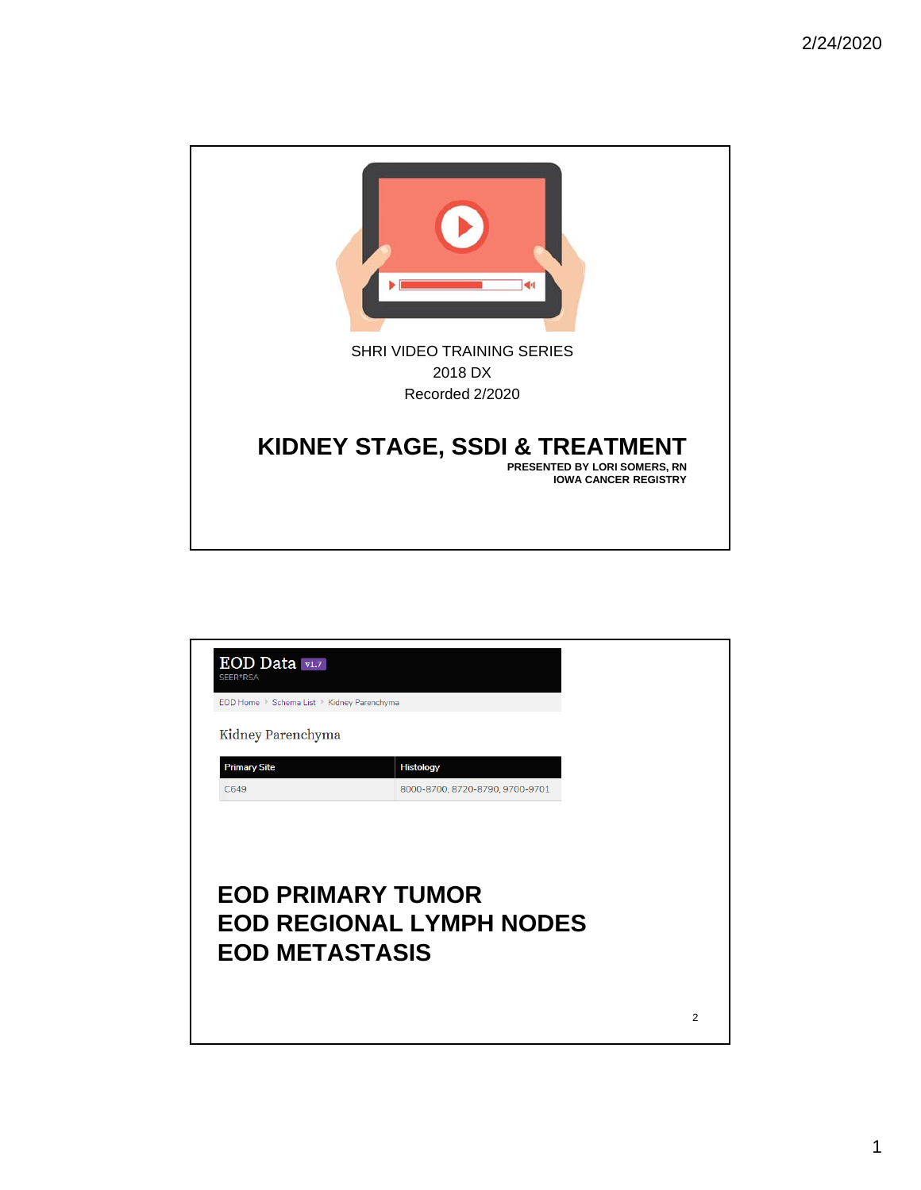

| EOD Data v1.7<br>SEER*RSA                  |                                                             |  |
|--------------------------------------------|-------------------------------------------------------------|--|
| EOD Home > Schema List > Kidney Parenchyma |                                                             |  |
| Kidney Parenchyma                          |                                                             |  |
| <b>Primary Site</b>                        | <b>Histology</b>                                            |  |
| C649                                       | 8000-8700, 8720-8790, 9700-9701                             |  |
|                                            |                                                             |  |
| <b>EOD METASTASIS</b>                      | <b>EOD PRIMARY TUMOR</b><br><b>EOD REGIONAL LYMPH NODES</b> |  |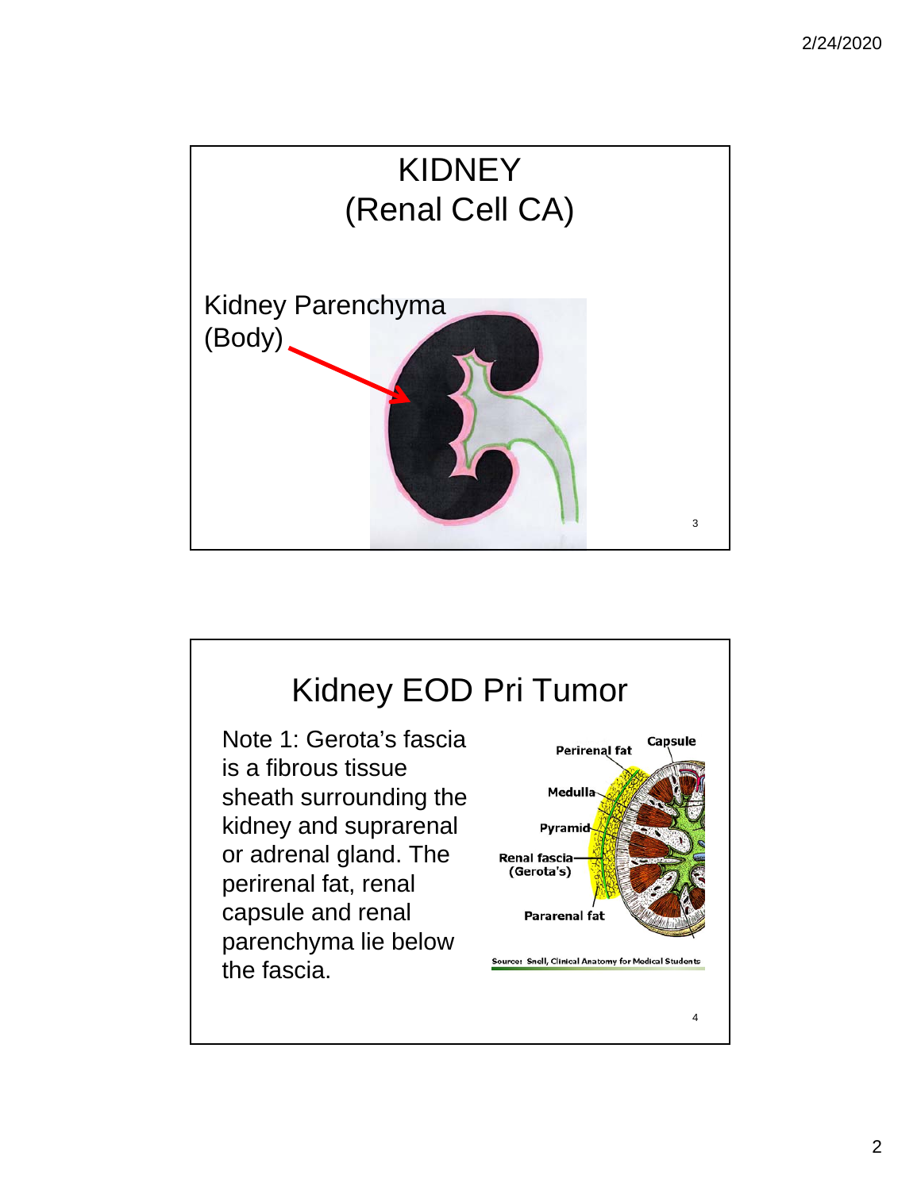

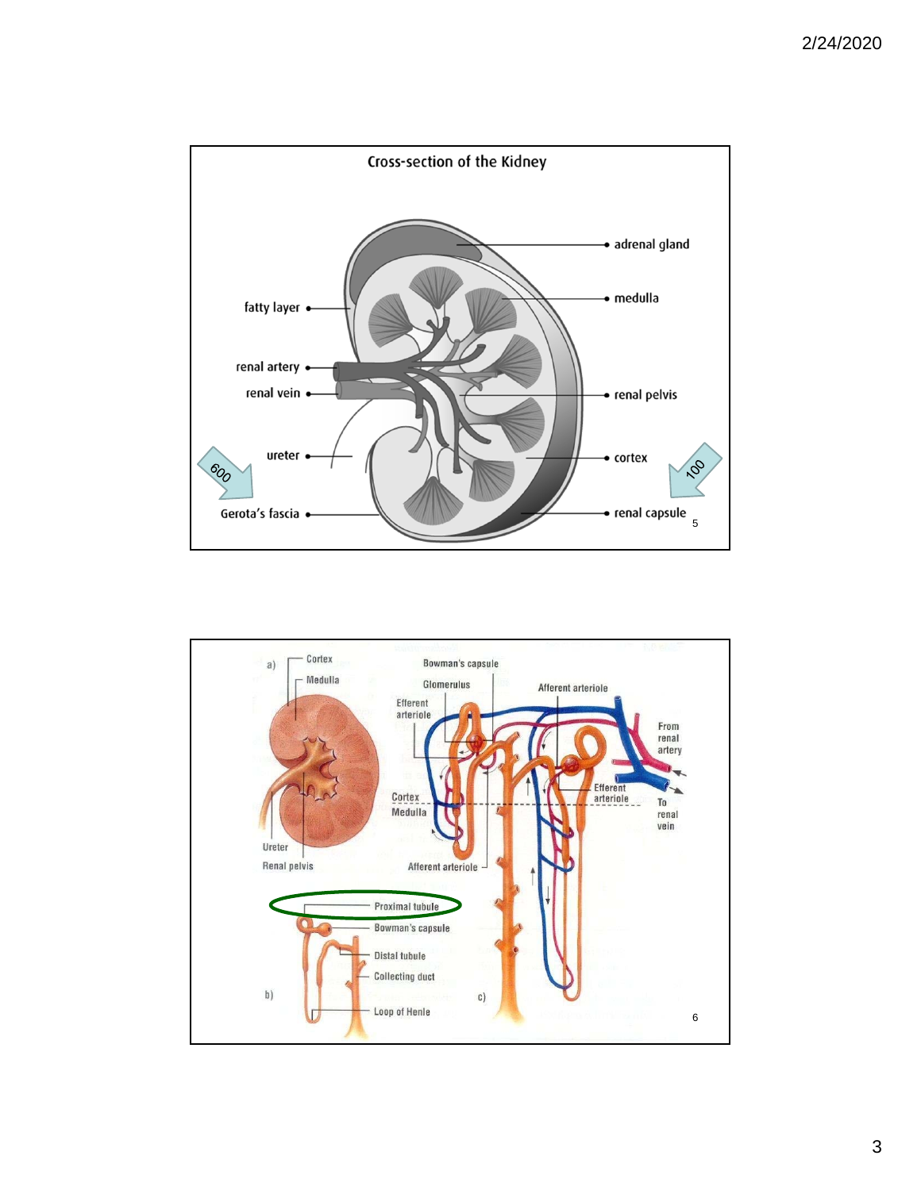

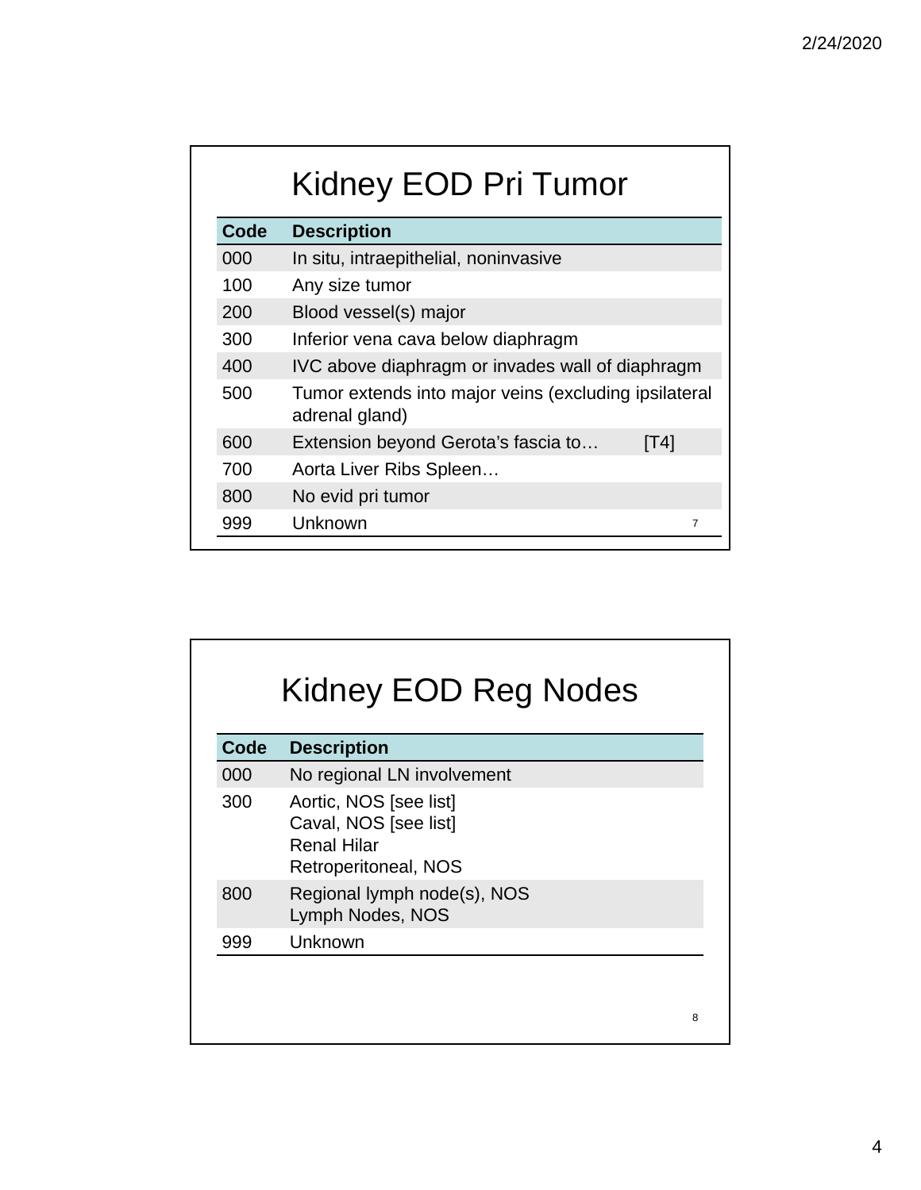| Kidney EOD Pri Tumor |                                                                         |  |  |
|----------------------|-------------------------------------------------------------------------|--|--|
| Code                 | <b>Description</b>                                                      |  |  |
| 000                  | In situ, intraepithelial, noninvasive                                   |  |  |
| 100                  | Any size tumor                                                          |  |  |
| 200                  | Blood vessel(s) major                                                   |  |  |
| 300                  | Inferior vena cava below diaphragm                                      |  |  |
| 400                  | IVC above diaphragm or invades wall of diaphragm                        |  |  |
| 500                  | Tumor extends into major veins (excluding ipsilateral<br>adrenal gland) |  |  |
| 600                  | Extension beyond Gerota's fascia to<br>[T4]                             |  |  |
| 700                  | Aorta Liver Ribs Spleen                                                 |  |  |
| 800                  | No evid pri tumor                                                       |  |  |
| 999                  | Unknown<br>7                                                            |  |  |

| Code<br><b>Description</b> |                                                                                               |  |  |
|----------------------------|-----------------------------------------------------------------------------------------------|--|--|
| 000                        | No regional LN involvement                                                                    |  |  |
| 300                        | Aortic, NOS [see list]<br>Caval, NOS [see list]<br><b>Renal Hilar</b><br>Retroperitoneal, NOS |  |  |
| 800                        | Regional lymph node(s), NOS<br>Lymph Nodes, NOS                                               |  |  |
| 999                        | Unknown                                                                                       |  |  |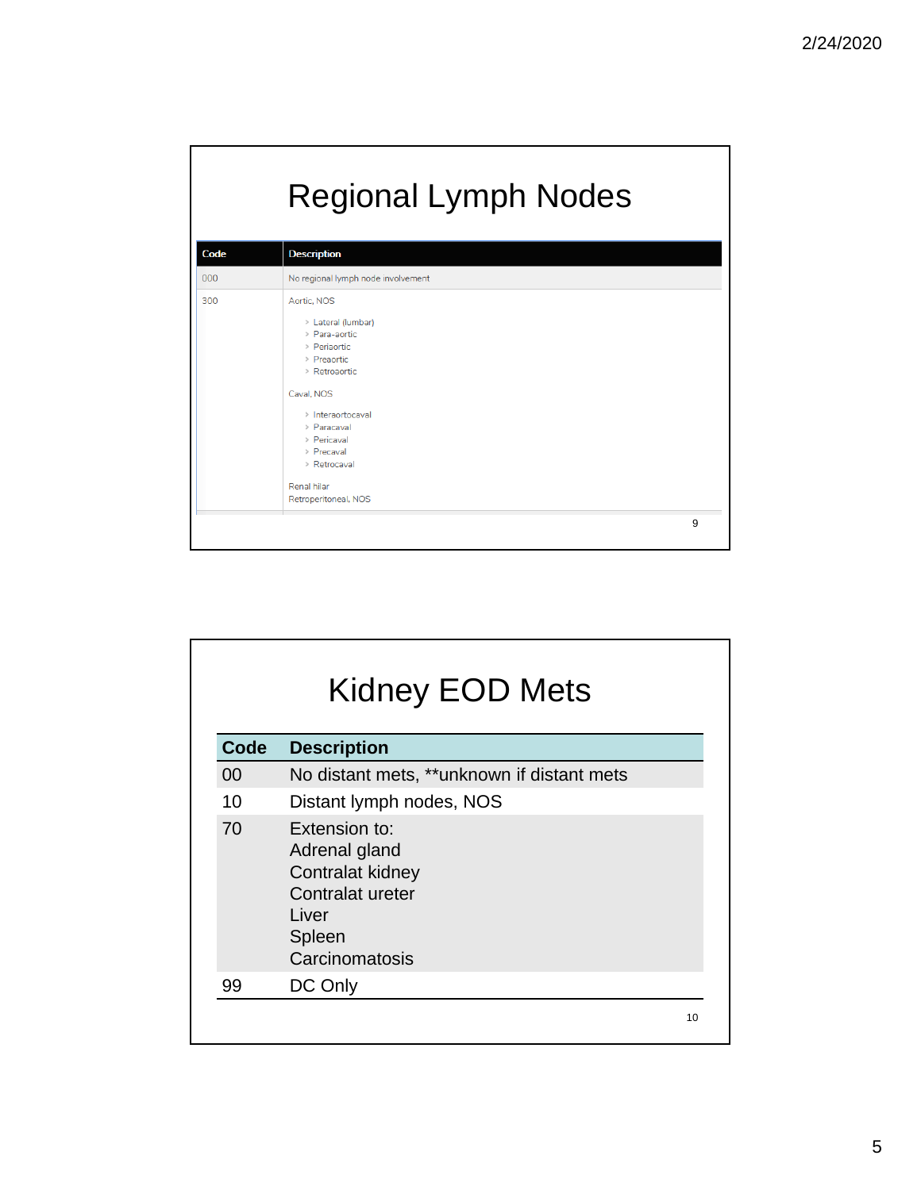|      | <b>Regional Lymph Nodes</b>                                                                                                                                                                                                              |   |  |
|------|------------------------------------------------------------------------------------------------------------------------------------------------------------------------------------------------------------------------------------------|---|--|
| Code | <b>Description</b>                                                                                                                                                                                                                       |   |  |
| 000  | No regional lymph node involvement                                                                                                                                                                                                       |   |  |
| 300  | Aortic, NOS<br>> Lateral (lumbar)<br>> Para-aortic<br>> Periaortic<br>> Preaortic<br>> Retroaortic<br>Caval, NOS<br>> Interaortocaval<br>> Paracaval<br>> Pericaval<br>> Precaval<br>> Retrocaval<br>Renal hilar<br>Retroperitoneal, NOS |   |  |
|      |                                                                                                                                                                                                                                          | 9 |  |

| <b>Kidney EOD Mets</b> |                                                                                                             |    |
|------------------------|-------------------------------------------------------------------------------------------------------------|----|
| Code                   | <b>Description</b>                                                                                          |    |
| 00                     | No distant mets, **unknown if distant mets                                                                  |    |
| 10                     | Distant lymph nodes, NOS                                                                                    |    |
| 70                     | Extension to:<br>Adrenal gland<br>Contralat kidney<br>Contralat ureter<br>Liver<br>Spleen<br>Carcinomatosis |    |
| 99                     | DC Only                                                                                                     |    |
|                        |                                                                                                             | 10 |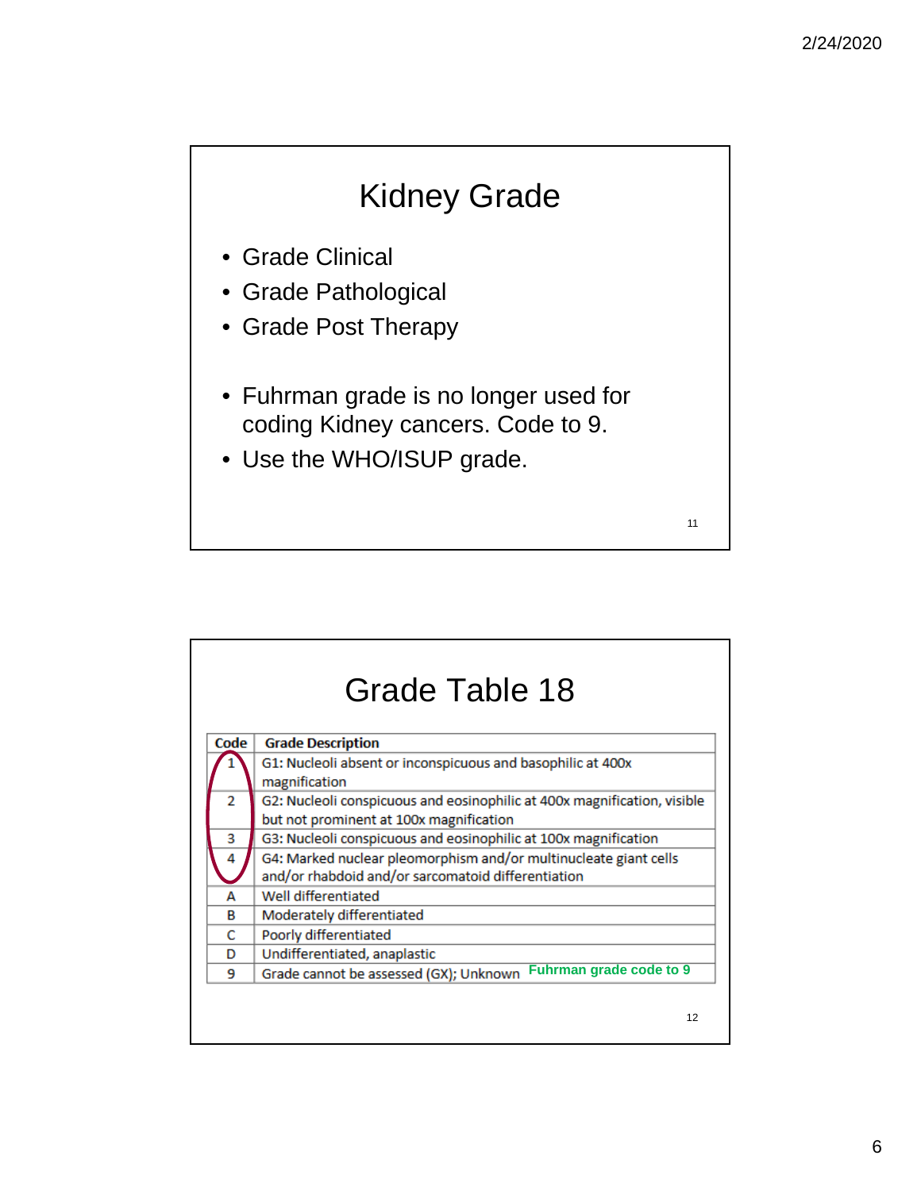# Kidney Grade

- Grade Clinical
- Grade Pathological
- Grade Post Therapy
- Fuhrman grade is no longer used for coding Kidney cancers. Code to 9.
- Use the WHO/ISUP grade.

|                | <b>Grade Table 18</b>                                                                                                  |  |  |
|----------------|------------------------------------------------------------------------------------------------------------------------|--|--|
| Code           | <b>Grade Description</b>                                                                                               |  |  |
|                | G1: Nucleoli absent or inconspicuous and basophilic at 400x<br>magnification                                           |  |  |
| $\overline{2}$ | G2: Nucleoli conspicuous and eosinophilic at 400x magnification, visible<br>but not prominent at 100x magnification    |  |  |
| 3              | G3: Nucleoli conspicuous and eosinophilic at 100x magnification                                                        |  |  |
| 4              | G4: Marked nuclear pleomorphism and/or multinucleate giant cells<br>and/or rhabdoid and/or sarcomatoid differentiation |  |  |
| А              | Well differentiated                                                                                                    |  |  |
| в              | Moderately differentiated                                                                                              |  |  |
| C              | Poorly differentiated                                                                                                  |  |  |
| D              | Undifferentiated, anaplastic                                                                                           |  |  |
| 9              | Fuhrman grade code to 9<br>Grade cannot be assessed (GX); Unknown                                                      |  |  |
|                | 12                                                                                                                     |  |  |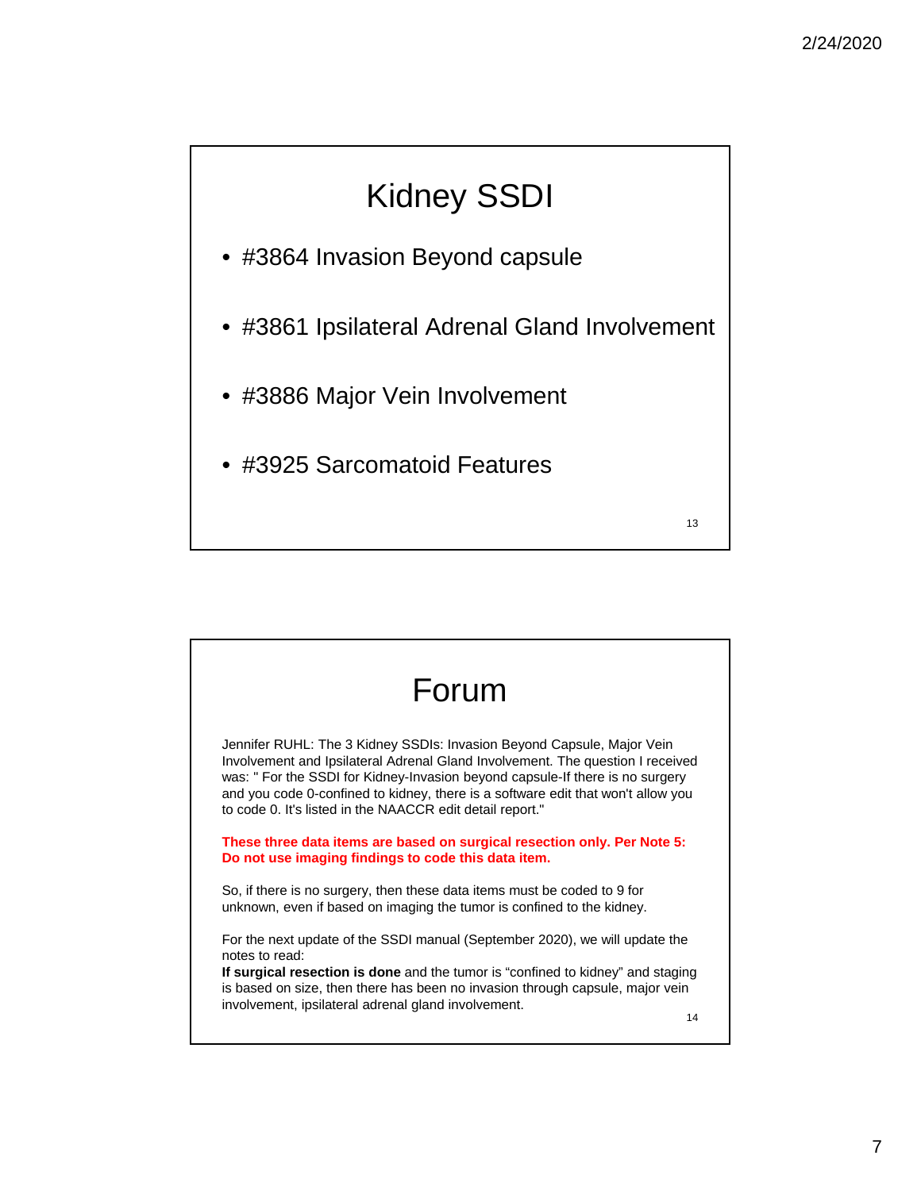# Kidney SSDI

- #3864 Invasion Beyond capsule
- #3861 Ipsilateral Adrenal Gland Involvement
- #3886 Major Vein Involvement
- #3925 Sarcomatoid Features

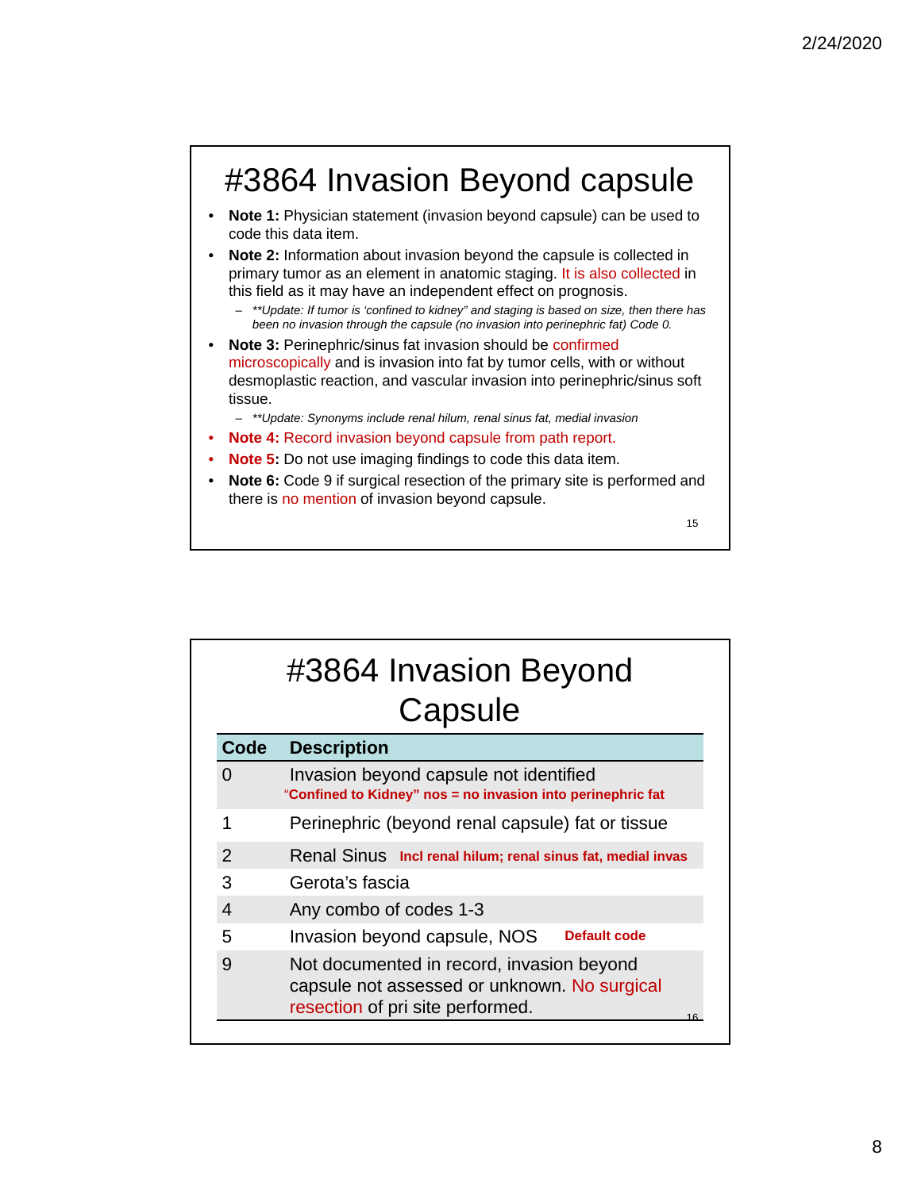# #3864 Invasion Beyond capsule

- **Note 1:** Physician statement (invasion beyond capsule) can be used to code this data item.
- **Note 2:** Information about invasion beyond the capsule is collected in primary tumor as an element in anatomic staging. It is also collected in this field as it may have an independent effect on prognosis.
	- *\*\*Update: If tumor is 'confined to kidney" and staging is based on size, then there has been no invasion through the capsule (no invasion into perinephric fat) Code 0.*
- **Note 3:** Perinephric/sinus fat invasion should be confirmed microscopically and is invasion into fat by tumor cells, with or without desmoplastic reaction, and vascular invasion into perinephric/sinus soft tissue.

– *\*\*Update: Synonyms include renal hilum, renal sinus fat, medial invasion*

- **Note 4:** Record invasion beyond capsule from path report.
- **Note 5:** Do not use imaging findings to code this data item.
- **Note 6:** Code 9 if surgical resection of the primary site is performed and there is no mention of invasion beyond capsule.

15

# #3864 Invasion Beyond **Capsule**

| Code           | <b>Description</b>                                                                                                            |  |  |
|----------------|-------------------------------------------------------------------------------------------------------------------------------|--|--|
|                | Invasion beyond capsule not identified<br>"Confined to Kidney" nos = no invasion into perinephric fat                         |  |  |
|                | Perinephric (beyond renal capsule) fat or tissue                                                                              |  |  |
| $\overline{2}$ | Renal Sinus Incl renal hilum; renal sinus fat, medial invas                                                                   |  |  |
| 3              | Gerota's fascia                                                                                                               |  |  |
| 4              | Any combo of codes 1-3                                                                                                        |  |  |
| 5              | Default code<br>Invasion beyond capsule, NOS                                                                                  |  |  |
| 9              | Not documented in record, invasion beyond<br>capsule not assessed or unknown. No surgical<br>resection of pri site performed. |  |  |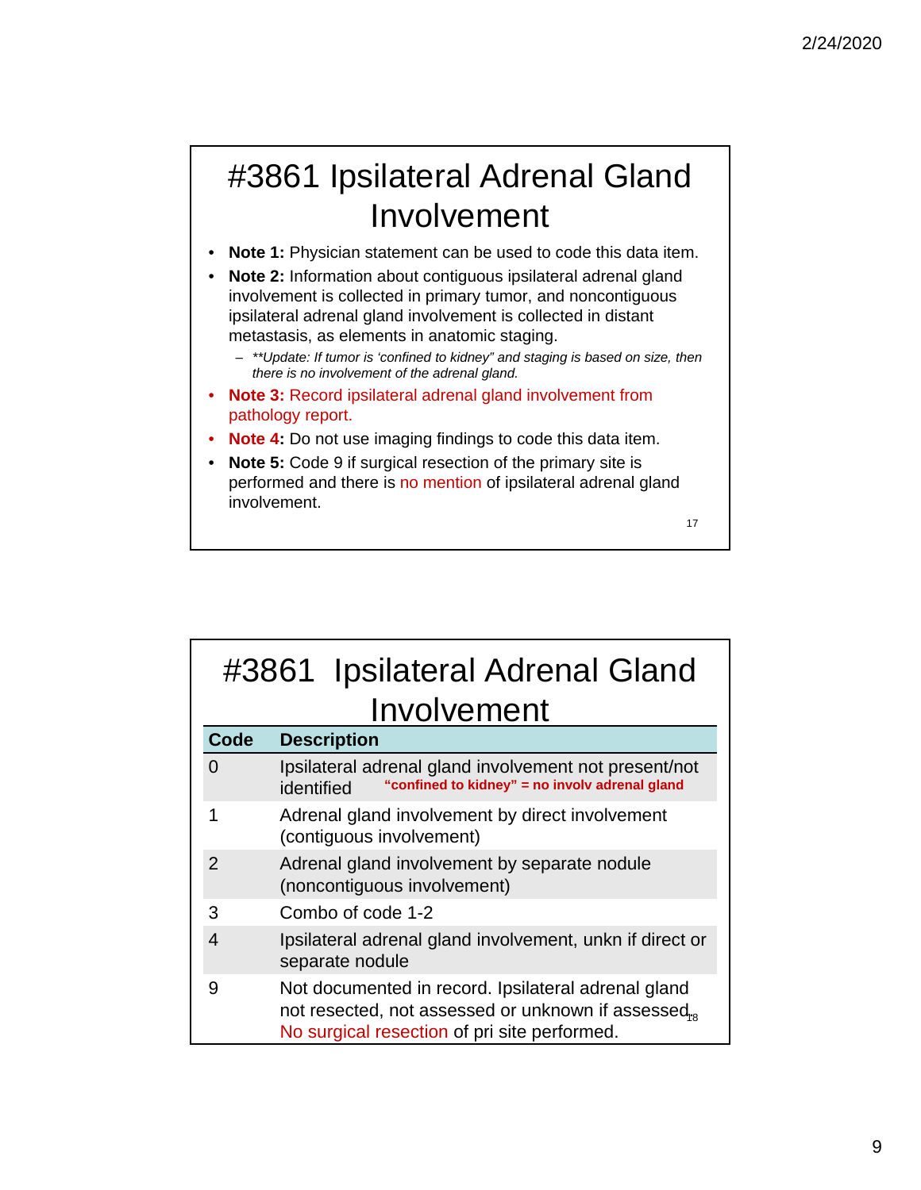# #3861 Ipsilateral Adrenal Gland Involvement

- **Note 1:** Physician statement can be used to code this data item.
- **Note 2:** Information about contiguous ipsilateral adrenal gland involvement is collected in primary tumor, and noncontiguous ipsilateral adrenal gland involvement is collected in distant metastasis, as elements in anatomic staging.
	- *\*\*Update: If tumor is 'confined to kidney" and staging is based on size, then there is no involvement of the adrenal gland.*
- **Note 3:** Record ipsilateral adrenal gland involvement from pathology report.
- **Note 4:** Do not use imaging findings to code this data item.
- **Note 5:** Code 9 if surgical resection of the primary site is performed and there is no mention of ipsilateral adrenal gland involvement.

17

## #3861 Ipsilateral Adrenal Gland Involvement **Code Description**

| Code          | <b>Description</b>                                                                                                                                        |  |  |
|---------------|-----------------------------------------------------------------------------------------------------------------------------------------------------------|--|--|
|               | Ipsilateral adrenal gland involvement not present/not<br>"confined to kidney" = no involv adrenal gland<br>identified                                     |  |  |
|               | Adrenal gland involvement by direct involvement<br>(contiguous involvement)                                                                               |  |  |
| $\mathcal{P}$ | Adrenal gland involvement by separate nodule<br>(noncontiguous involvement)                                                                               |  |  |
| 3             | Combo of code 1-2                                                                                                                                         |  |  |
| 4             | Ipsilateral adrenal gland involvement, unkn if direct or<br>separate nodule                                                                               |  |  |
| 9             | Not documented in record. Ipsilateral adrenal gland<br>not resected, not assessed or unknown if assessed,<br>No surgical resection of pri site performed. |  |  |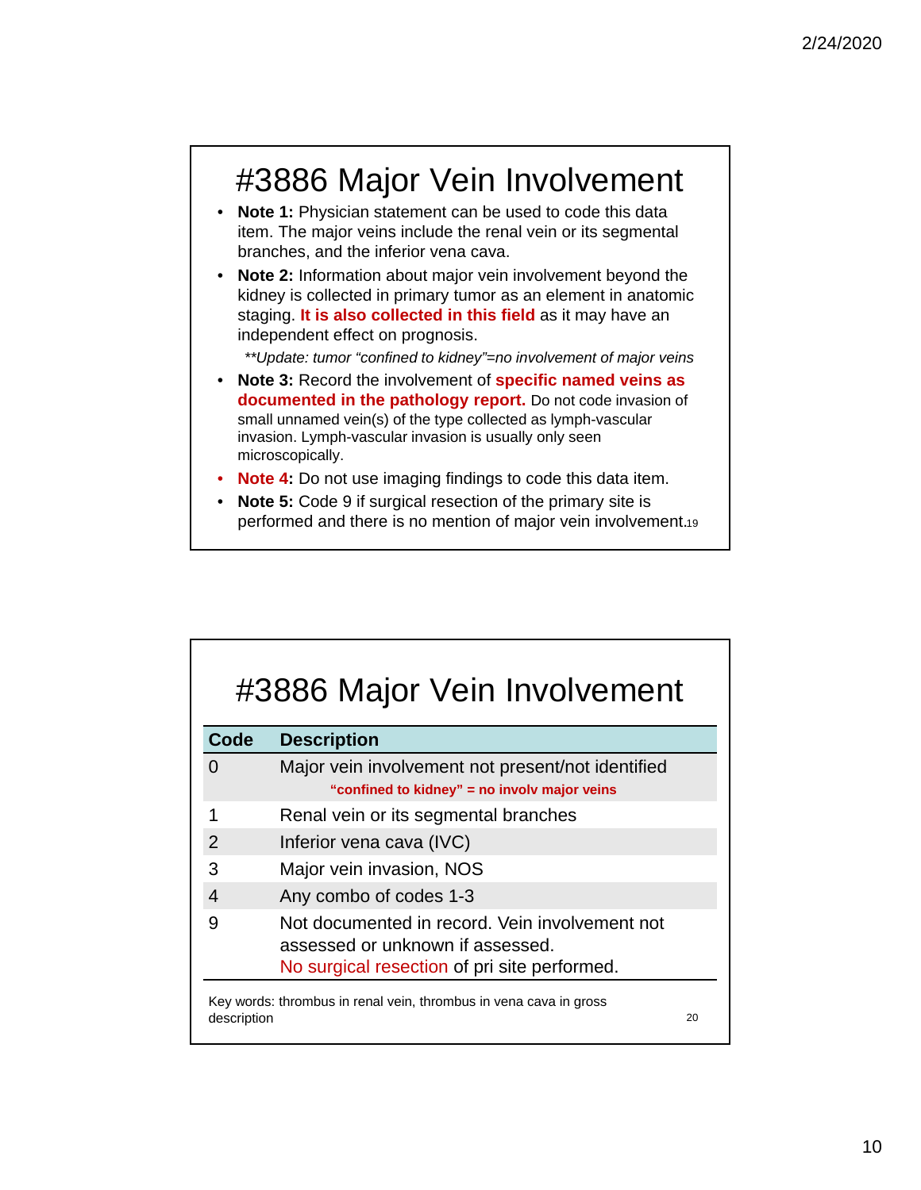# #3886 Major Vein Involvement

- **Note 1:** Physician statement can be used to code this data item. The major veins include the renal vein or its segmental branches, and the inferior vena cava.
- **Note 2:** Information about major vein involvement beyond the kidney is collected in primary tumor as an element in anatomic staging. **It is also collected in this field** as it may have an independent effect on prognosis.

*\*\*Update: tumor "confined to kidney"=no involvement of major veins*

- **Note 3:** Record the involvement of **specific named veins as documented in the pathology report.** Do not code invasion of small unnamed vein(s) of the type collected as lymph-vascular invasion. Lymph-vascular invasion is usually only seen microscopically.
- **Note 4:** Do not use imaging findings to code this data item.
- **Note 5:** Code 9 if surgical resection of the primary site is performed and there is no mention of major vein involvement.19

| Code              | <b>Description</b>                                                                                                                 |  |
|-------------------|------------------------------------------------------------------------------------------------------------------------------------|--|
| $\mathbf{\Omega}$ | Major vein involvement not present/not identified                                                                                  |  |
|                   | "confined to kidney" = no involv major veins                                                                                       |  |
| 1                 | Renal vein or its segmental branches                                                                                               |  |
| 2                 | Inferior vena cava (IVC)                                                                                                           |  |
| 3                 | Major vein invasion, NOS                                                                                                           |  |
| 4                 | Any combo of codes 1-3                                                                                                             |  |
| 9                 | Not documented in record. Vein involvement not<br>assessed or unknown if assessed.<br>No surgical resection of pri site performed. |  |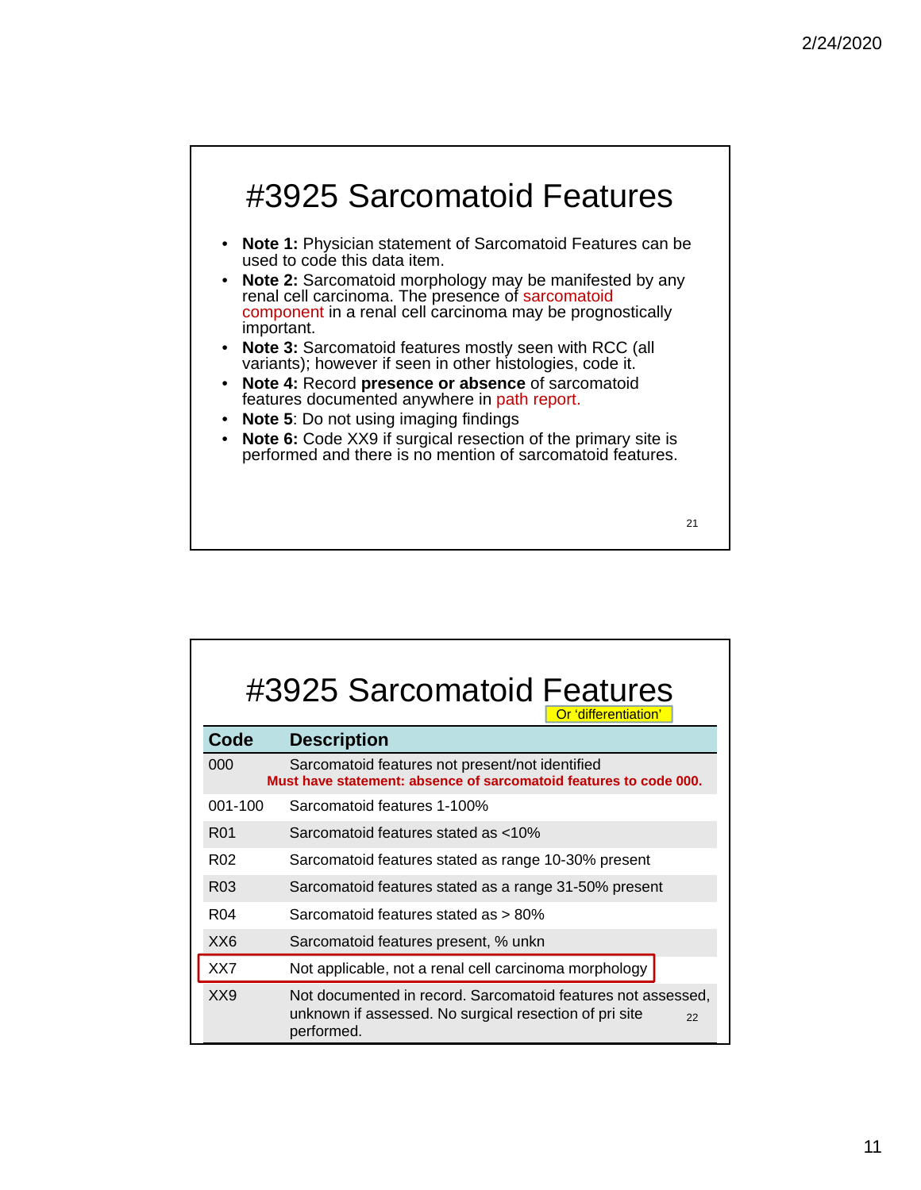

| #3925 Sarcomatoid Features<br>Or 'differentiation' |                                                                                                                                            |  |  |
|----------------------------------------------------|--------------------------------------------------------------------------------------------------------------------------------------------|--|--|
| Code                                               | <b>Description</b>                                                                                                                         |  |  |
| 000                                                | Sarcomatoid features not present/not identified<br>Must have statement: absence of sarcomatoid features to code 000.                       |  |  |
| 001-100                                            | Sarcomatoid features 1-100%                                                                                                                |  |  |
| R <sub>01</sub>                                    | Sarcomatoid features stated as <10%                                                                                                        |  |  |
| R <sub>02</sub>                                    | Sarcomatoid features stated as range 10-30% present                                                                                        |  |  |
| R <sub>03</sub>                                    | Sarcomatoid features stated as a range 31-50% present                                                                                      |  |  |
| R <sub>04</sub>                                    | Sarcomatoid features stated as > 80%                                                                                                       |  |  |
| XX <sub>6</sub>                                    | Sarcomatoid features present, % unkn                                                                                                       |  |  |
| XX7                                                | Not applicable, not a renal cell carcinoma morphology                                                                                      |  |  |
| XX9                                                | Not documented in record. Sarcomatoid features not assessed,<br>unknown if assessed. No surgical resection of pri site<br>22<br>performed. |  |  |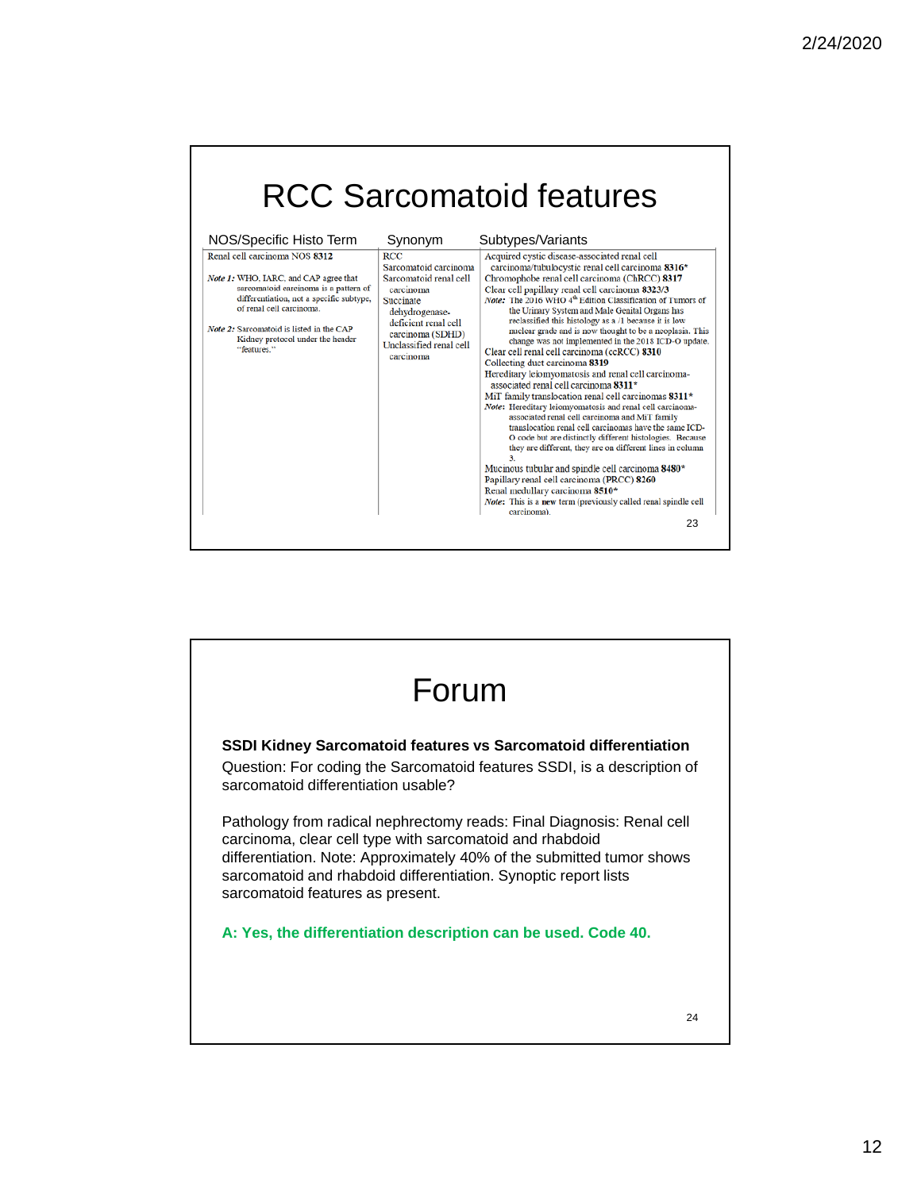|                                                                                                                                                                                                                                                                                                                   |                                                                                                                                                                                                          | <b>RCC Sarcomatoid features</b>                                                                                                                                                                                                                                                                                                                                                                                                                                                                                                                                                                                                                                                                                                                                                                                                                                                                                                                                                                                                                                                                                                                                                                                                                                                                                        |
|-------------------------------------------------------------------------------------------------------------------------------------------------------------------------------------------------------------------------------------------------------------------------------------------------------------------|----------------------------------------------------------------------------------------------------------------------------------------------------------------------------------------------------------|------------------------------------------------------------------------------------------------------------------------------------------------------------------------------------------------------------------------------------------------------------------------------------------------------------------------------------------------------------------------------------------------------------------------------------------------------------------------------------------------------------------------------------------------------------------------------------------------------------------------------------------------------------------------------------------------------------------------------------------------------------------------------------------------------------------------------------------------------------------------------------------------------------------------------------------------------------------------------------------------------------------------------------------------------------------------------------------------------------------------------------------------------------------------------------------------------------------------------------------------------------------------------------------------------------------------|
| NOS/Specific Histo Term<br>Renal cell carcinoma NOS 8312<br>Note 1: WHO, IARC, and CAP agree that<br>sarcomatoid carcinoma is a pattern of<br>differentiation, not a specific subtype,<br>of renal cell carcinoma.<br>Note 2: Sarcomatoid is listed in the CAP<br>Kidney protocol under the header<br>"features." | Synonym<br><b>RCC</b><br>Sarcomatoid carcinoma<br>Sarcomatoid renal cell<br>carcinoma<br>Succinate<br>dehydrogenase-<br>deficient renal cell<br>carcinoma (SDHD)<br>Unclassified renal cell<br>carcinoma | Subtypes/Variants<br>Acquired cystic disease-associated renal cell<br>carcinoma/tubulocystic renal cell carcinoma 8316*<br>Chromophobe renal cell carcinoma (ChRCC) 8317<br>Clear cell papillary renal cell carcinoma 8323/3<br>Note: The 2016 WHO 4 <sup>th</sup> Edition Classification of Tumors of<br>the Urinary System and Male Genital Organs has<br>reclassified this histology as a /1 because it is low<br>nuclear grade and is now thought to be a neoplasia. This<br>change was not implemented in the 2018 ICD-O update.<br>Clear cell renal cell carcinoma (ccRCC) 8310<br>Collecting duct carcinoma 8319<br>Hereditary leiomyomatosis and renal cell carcinoma-<br>associated renal cell carcinoma 8311*<br>MiT family translocation renal cell carcinomas $8311*$<br>Note: Hereditary leiomyomatosis and renal cell carcinoma-<br>associated renal cell carcinoma and MiT family<br>translocation renal cell carcinomas have the same ICD-<br>O code but are distinctly different histologies. Because<br>they are different, they are on different lines in column<br>3.<br>Mucinous tubular and spindle cell carcinoma 8480*<br>Papillary renal cell carcinoma (PRCC) 8260<br>Renal medullary carcinoma 8510*<br>Note: This is a new term (previously called renal spindle cell<br>carcinoma).<br>23 |

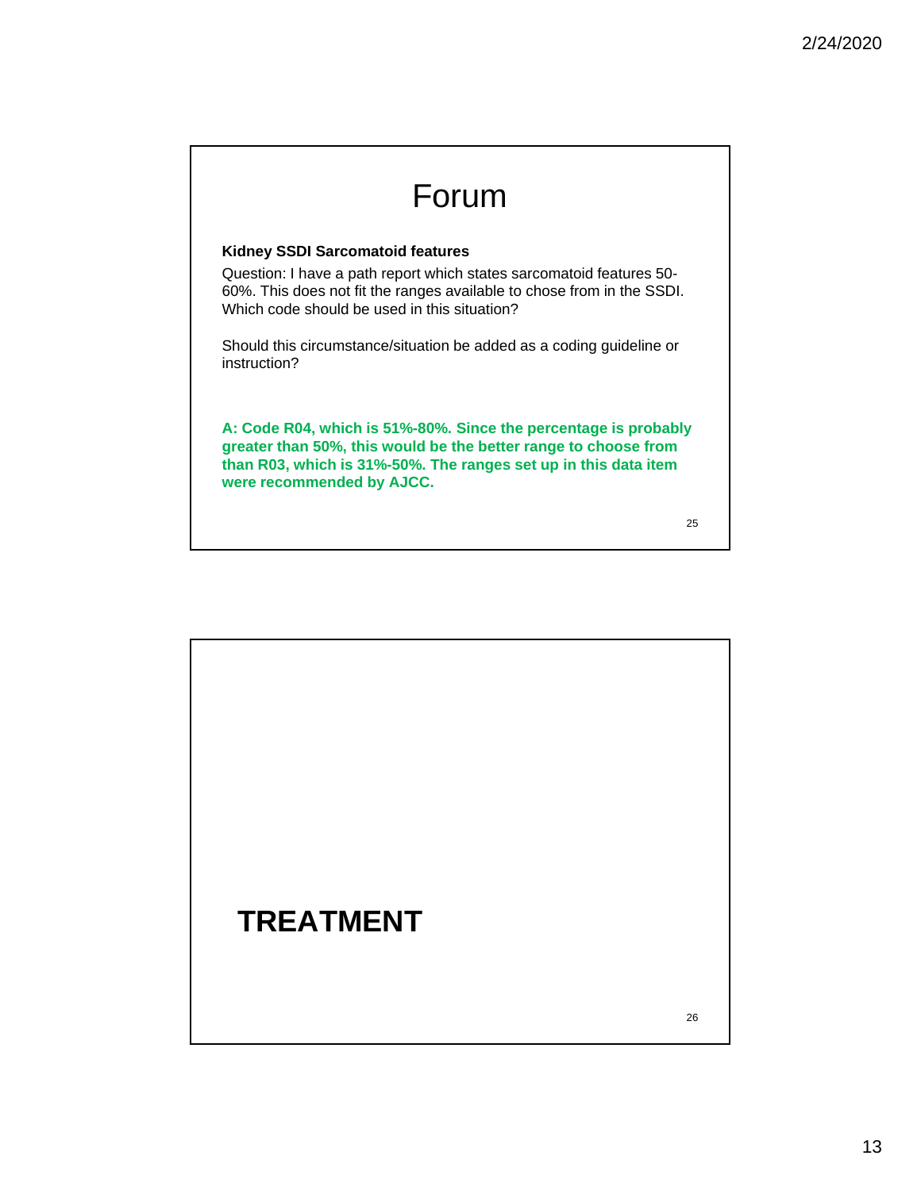## Forum

#### **Kidney SSDI Sarcomatoid features**

Question: I have a path report which states sarcomatoid features 50- 60%. This does not fit the ranges available to chose from in the SSDI. Which code should be used in this situation?

Should this circumstance/situation be added as a coding guideline or instruction?

**A: Code R04, which is 51%-80%. Since the percentage is probably greater than 50%, this would be the better range to choose from than R03, which is 31%-50%. The ranges set up in this data item were recommended by AJCC.** 

25

# **TREATMENT**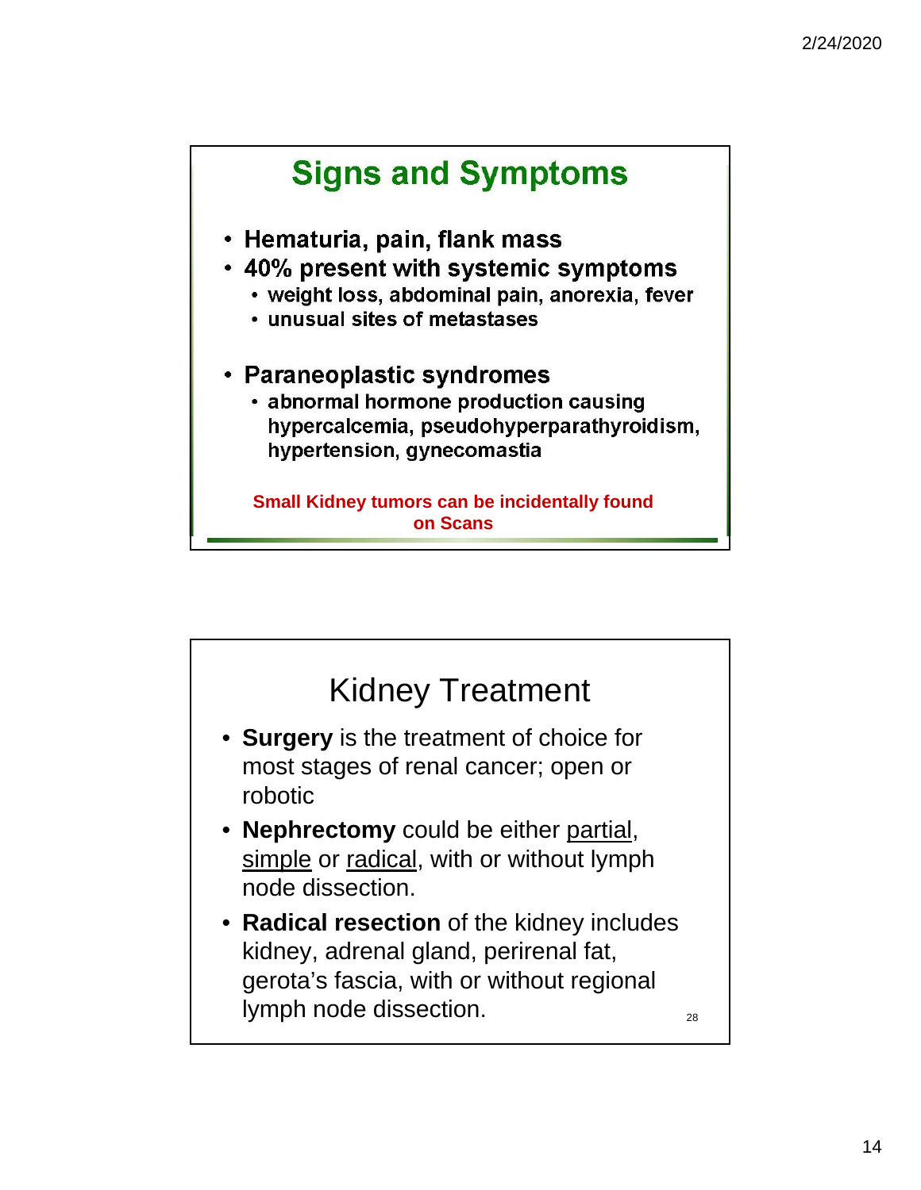![](_page_13_Figure_1.jpeg)

![](_page_13_Figure_2.jpeg)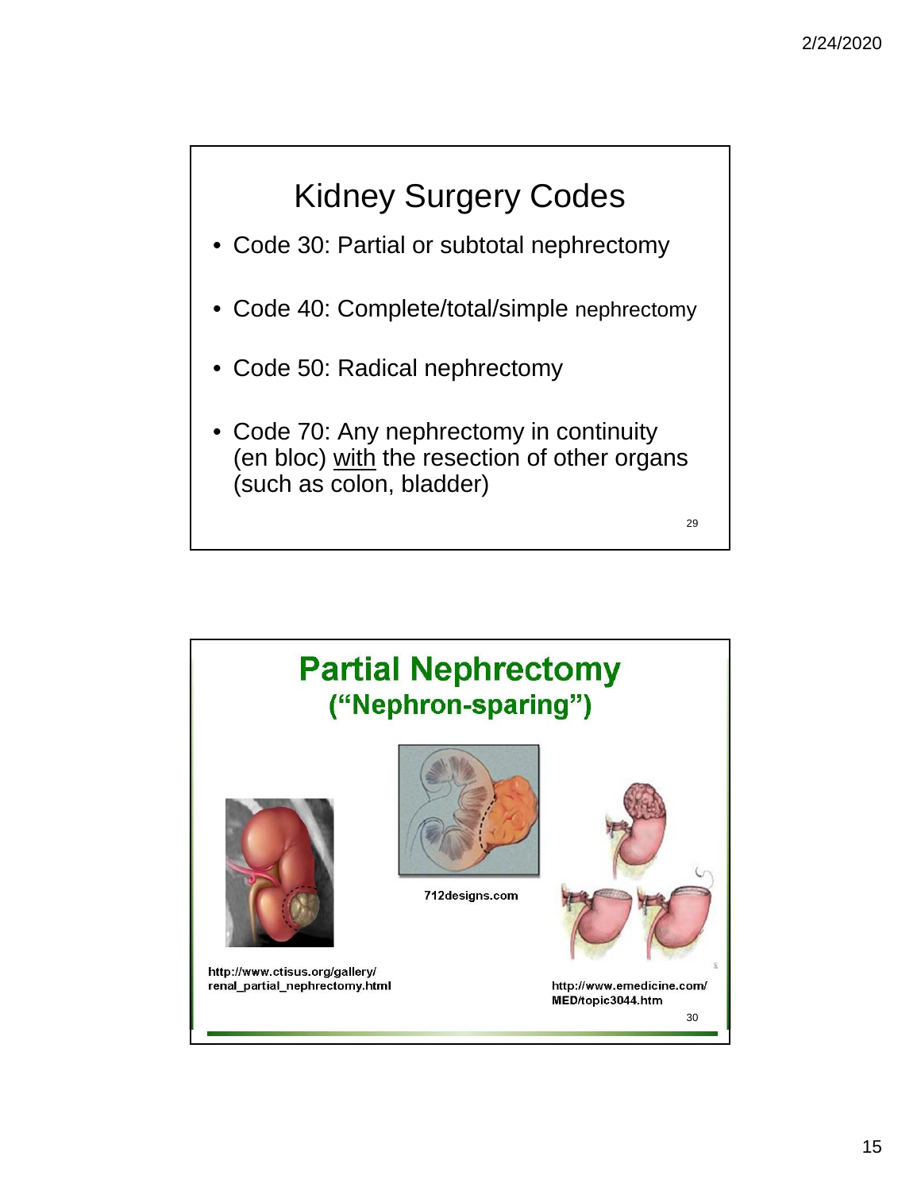# Kidney Surgery Codes

- Code 30: Partial or subtotal nephrectomy
- Code 40: Complete/total/simple nephrectomy
- Code 50: Radical nephrectomy
- Code 70: Any nephrectomy in continuity (en bloc) with the resection of other organs (such as colon, bladder)

![](_page_14_Figure_6.jpeg)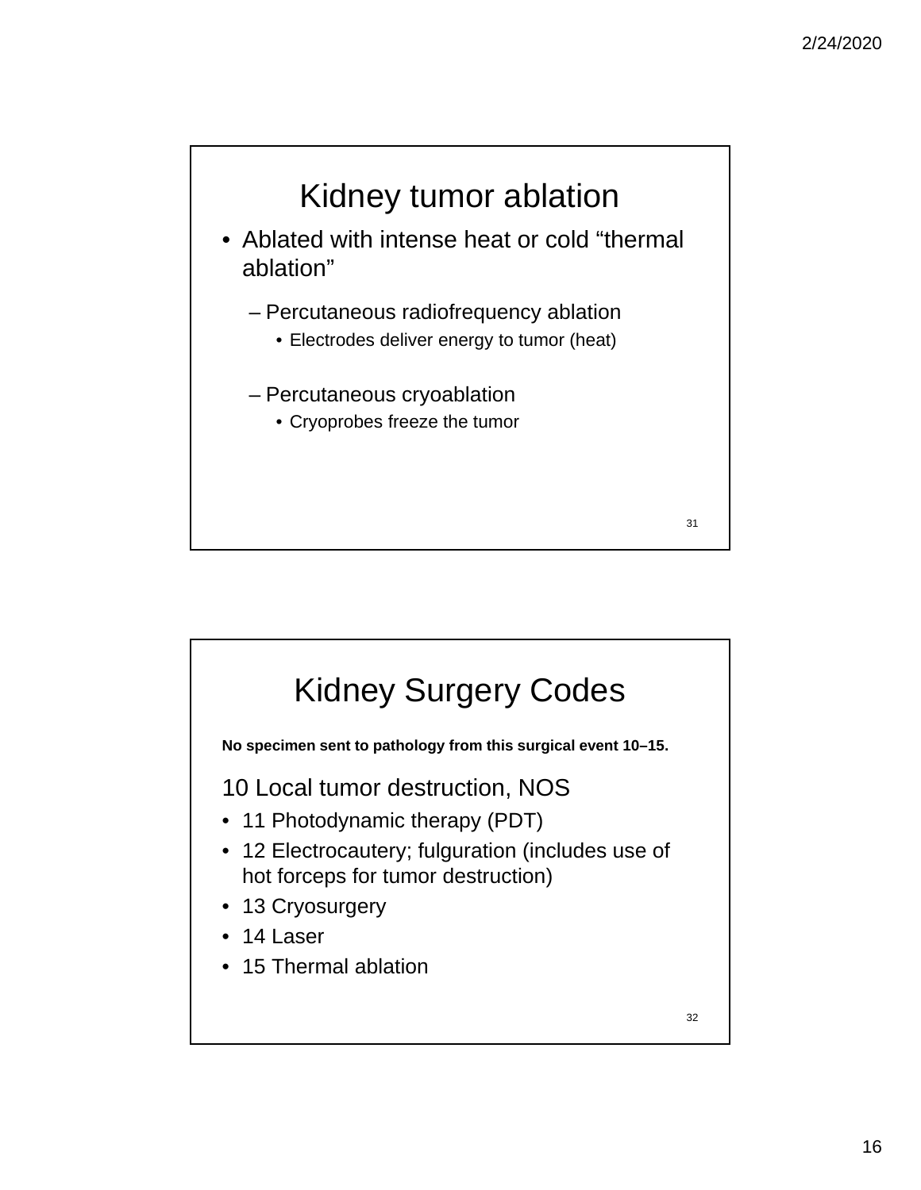![](_page_15_Figure_1.jpeg)

![](_page_15_Figure_2.jpeg)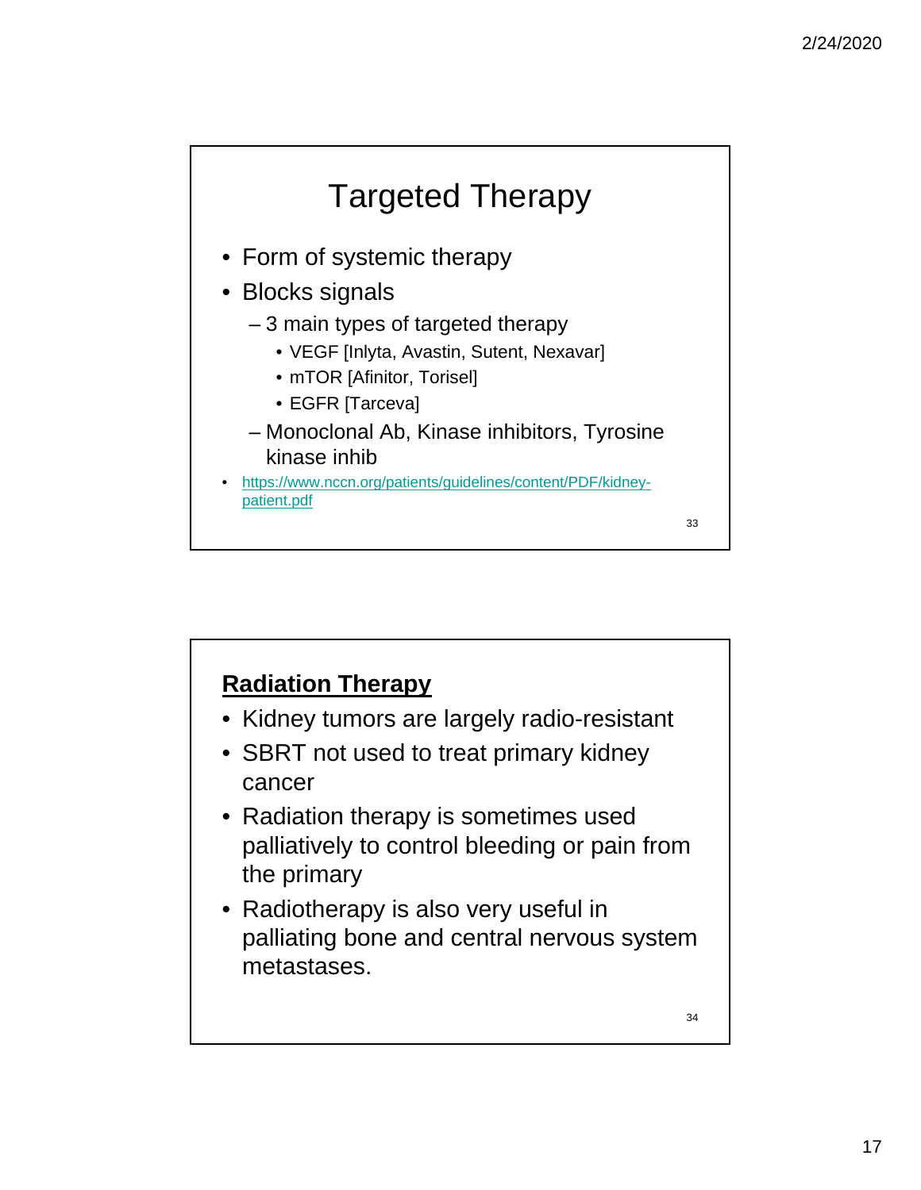![](_page_16_Figure_1.jpeg)

## **Radiation Therapy**

- Kidney tumors are largely radio-resistant
- SBRT not used to treat primary kidney cancer
- Radiation therapy is sometimes used palliatively to control bleeding or pain from the primary
- Radiotherapy is also very useful in palliating bone and central nervous system metastases.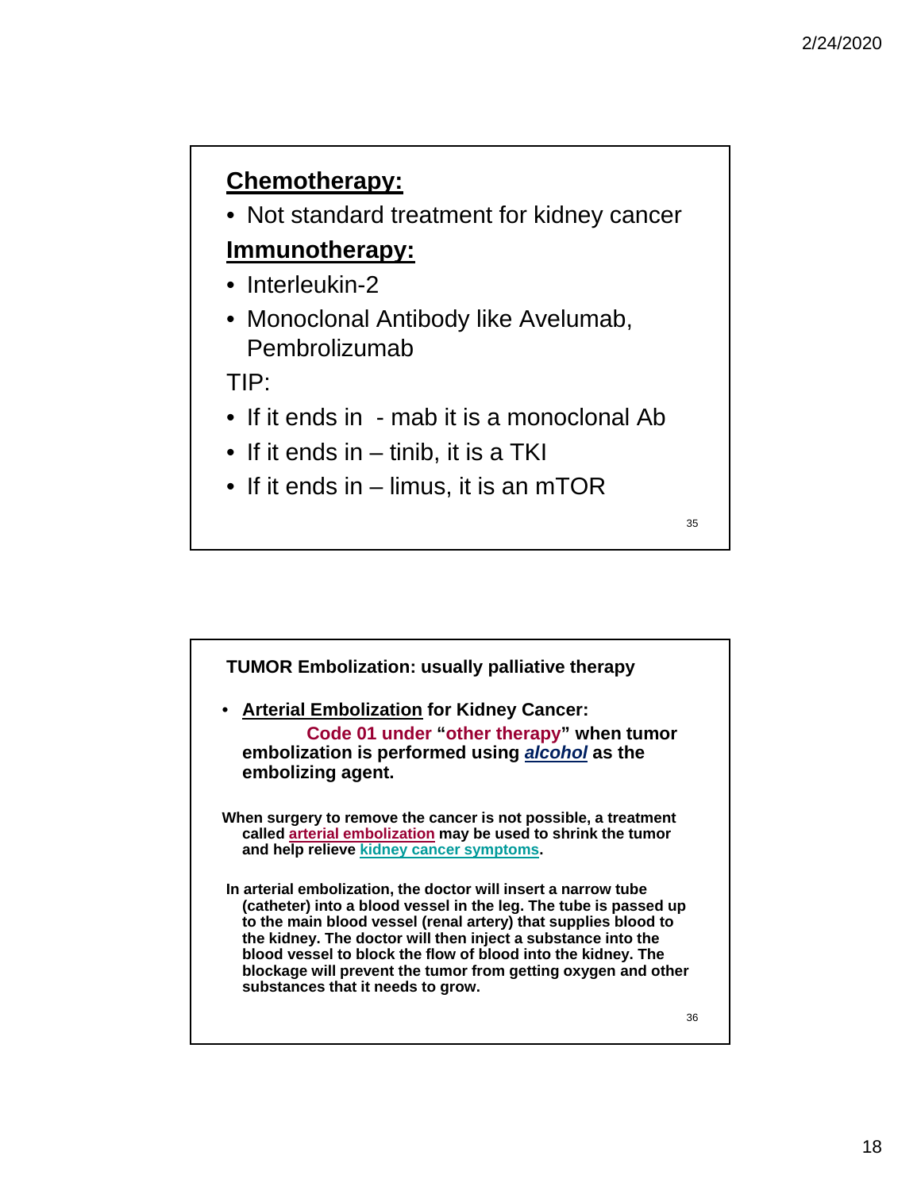## **Chemotherapy:**

• Not standard treatment for kidney cancer

### **Immunotherapy:**

- Interleukin-2
- Monoclonal Antibody like Avelumab, Pembrolizumab

### TIP:

- If it ends in mab it is a monoclonal Ab
- If it ends in tinib, it is a TKI
- If it ends in limus, it is an mTOR

![](_page_17_Figure_11.jpeg)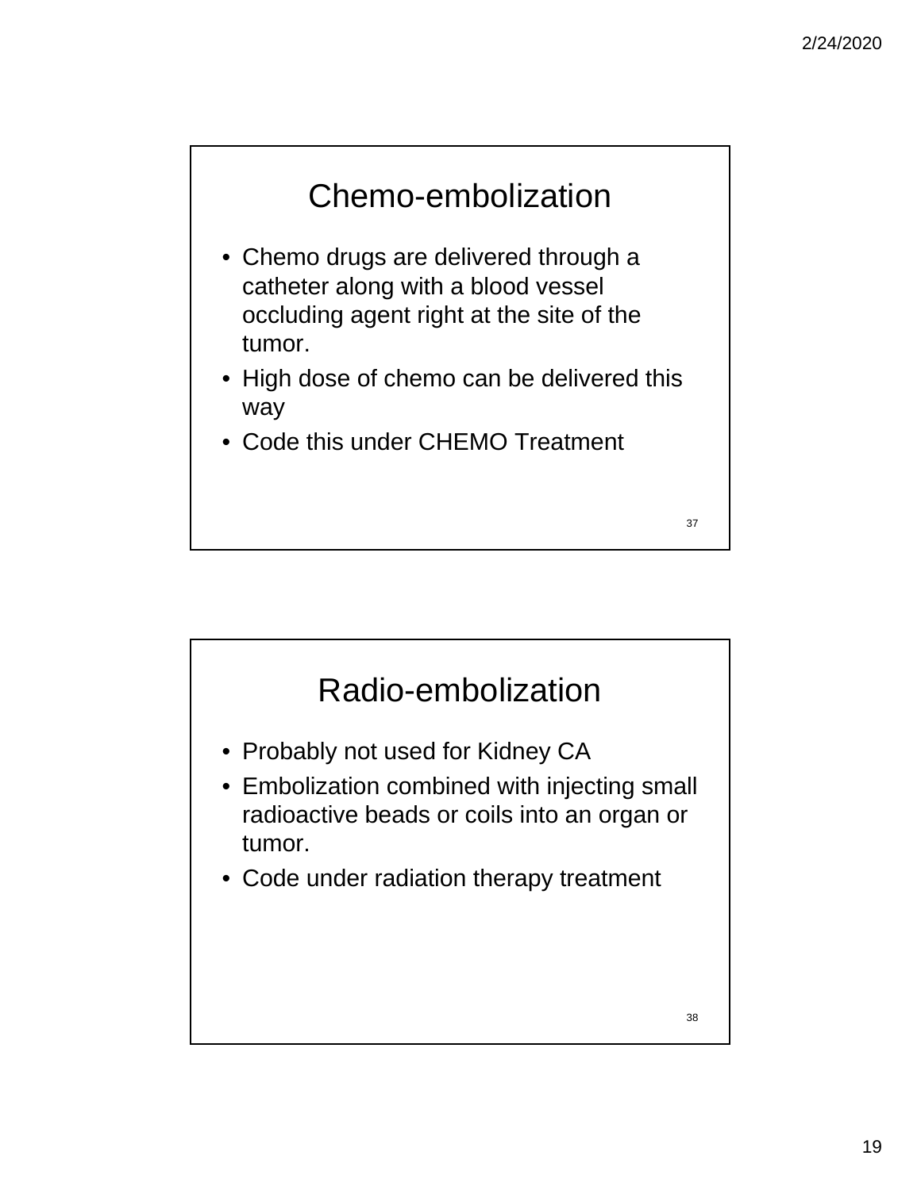![](_page_18_Figure_1.jpeg)

- Chemo drugs are delivered through a catheter along with a blood vessel occluding agent right at the site of the tumor.
- High dose of chemo can be delivered this way
- Code this under CHEMO Treatment

Radio-embolization • Probably not used for Kidney CA • Embolization combined with injecting small radioactive beads or coils into an organ or tumor. • Code under radiation therapy treatment 38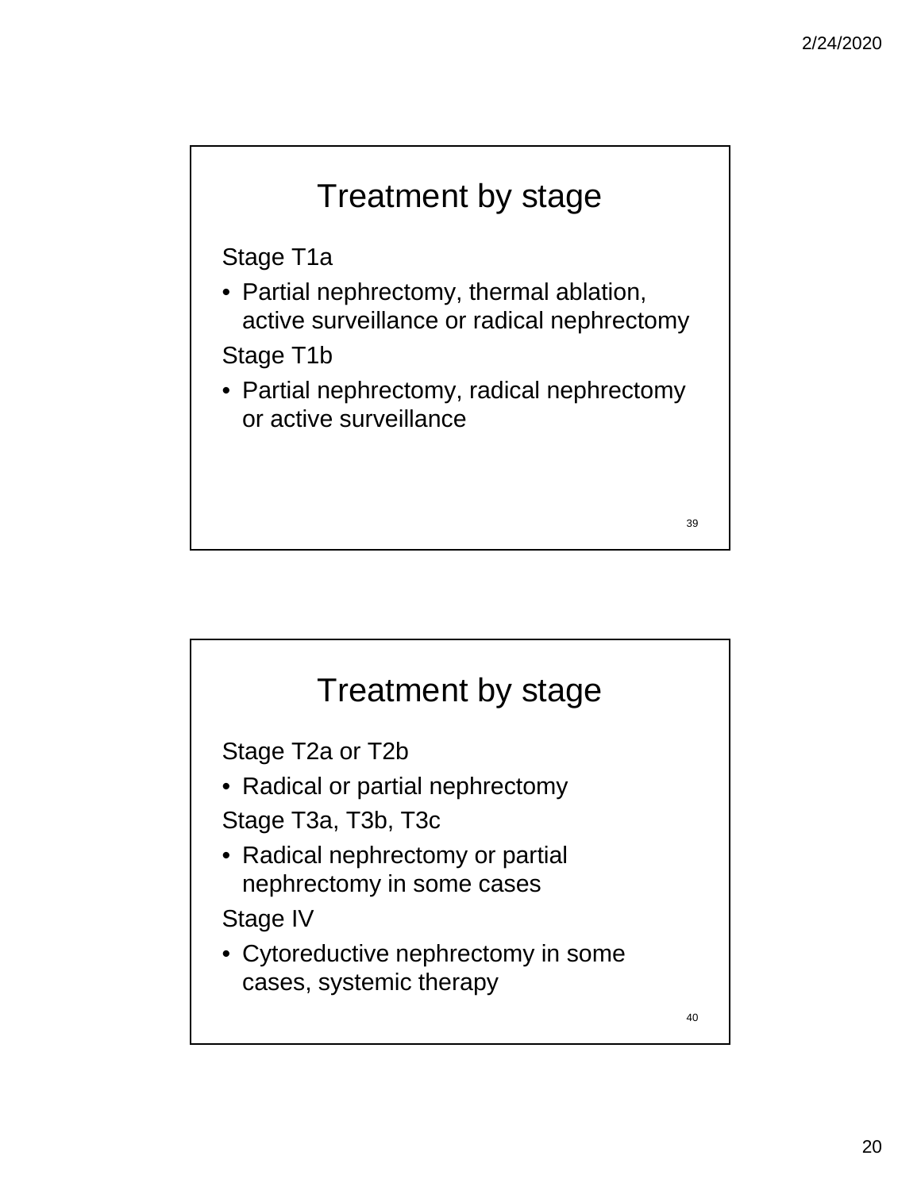![](_page_19_Figure_1.jpeg)

![](_page_19_Figure_2.jpeg)